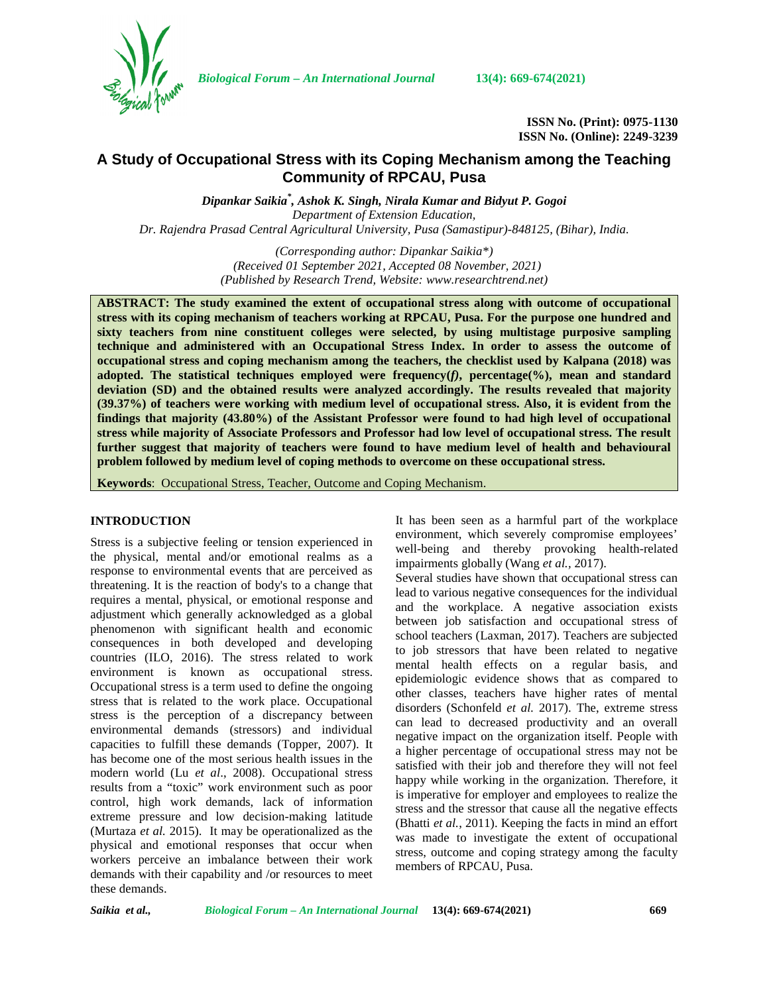

*Biological Forum – An International Journal* **13(4): 669-674(2021)**

**ISSN No. (Print): 0975-1130 ISSN No. (Online): 2249-3239**

# **A Study of Occupational Stress with its Coping Mechanism among the Teaching Community of RPCAU, Pusa**

*Dipankar Saikia\* , Ashok K. Singh, Nirala Kumar and Bidyut P. Gogoi Department of Extension Education, Dr. Rajendra Prasad Central Agricultural University, Pusa (Samastipur)-848125, (Bihar), India.*

> *(Corresponding author: Dipankar Saikia\*) (Received 01 September 2021, Accepted 08 November, 2021) (Published by Research Trend, Website: [www.researchtrend.net\)](www.researchtrend.net)*

**ABSTRACT: The study examined the extent of occupational stress along with outcome of occupational stress with its coping mechanism of teachers working at RPCAU, Pusa. For the purpose one hundred and sixty teachers from nine constituent colleges were selected, by using multistage purposive sampling technique and administered with an Occupational Stress Index. In order to assess the outcome of occupational stress and coping mechanism among the teachers, the checklist used by Kalpana (2018) was adopted. The statistical techniques employed were frequency(***f)***, percentage(%), mean and standard deviation (SD) and the obtained results were analyzed accordingly. The results revealed that majority (39.37%) of teachers were working with medium level of occupational stress. Also, it is evident from the findings that majority (43.80%) of the Assistant Professor were found to had high level of occupational stress while majority of Associate Professors and Professor had low level of occupational stress. The result further suggest that majority of teachers were found to have medium level of health and behavioural problem followed by medium level of coping methods to overcome on these occupational stress.**

**Keywords**: Occupational Stress, Teacher, Outcome and Coping Mechanism.

### **INTRODUCTION**

Stress is a subjective feeling or tension experienced in the physical, mental and/or emotional realms as a response to environmental events that are perceived as threatening. It is the reaction of body's to a change that requires a mental, physical, or emotional response and adjustment which generally acknowledged as a global phenomenon with significant health and economic consequences in both developed and developing countries (ILO, 2016). The stress related to work environment is known as occupational stress. Occupational stress is a term used to define the ongoing stress that is related to the work place. Occupational stress is the perception of a discrepancy between environmental demands (stressors) and individual capacities to fulfill these demands (Topper, 2007). It has become one of the most serious health issues in the modern world (Lu *et al*., 2008). Occupational stress results from a "toxic" work environment such as poor control, high work demands, lack of information extreme pressure and low decision-making latitude (Murtaza *et al.* 2015). It may be operationalized as the physical and emotional responses that occur when workers perceive an imbalance between their work demands with their capability and /or resources to meet these demands.

It has been seen as a harmful part of the workplace environment, which severely compromise employees' well-being and thereby provoking health-related impairments globally (Wang *et al.,* 2017).

Several studies have shown that occupational stress can lead to various negative consequences for the individual and the workplace. A negative association exists between job satisfaction and occupational stress of school teachers (Laxman, 2017). Teachers are subjected to job stressors that have been related to negative mental health effects on a regular basis, and epidemiologic evidence shows that as compared to other classes, teachers have higher rates of mental disorders (Schonfeld *et al.* 2017). The, extreme stress can lead to decreased productivity and an overall negative impact on the organization itself. People with a higher percentage of occupational stress may not be satisfied with their job and therefore they will not feel happy while working in the organization. Therefore, it is imperative for employer and employees to realize the stress and the stressor that cause all the negative effects (Bhatti *et al.*, 2011). Keeping the facts in mind an effort was made to investigate the extent of occupational stress, outcome and coping strategy among the faculty members of RPCAU, Pusa.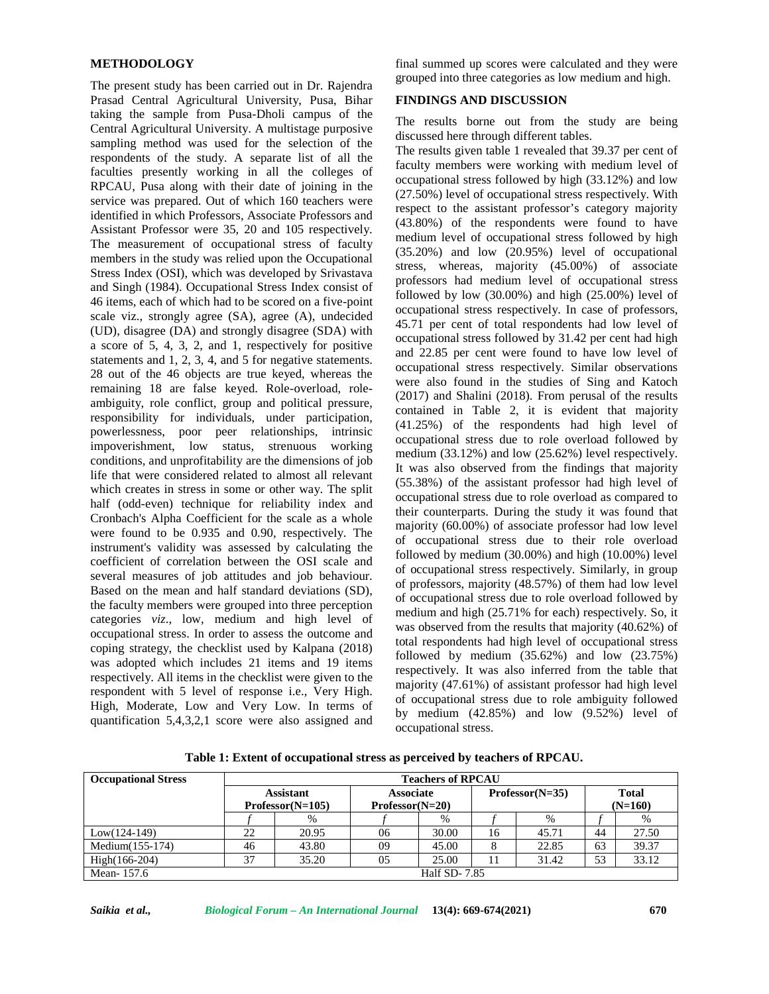#### **METHODOLOGY**

The present study has been carried out in Dr. Rajendra Prasad Central Agricultural University, Pusa, Bihar taking the sample from Pusa-Dholi campus of the Central Agricultural University. A multistage purposive sampling method was used for the selection of the respondents of the study. A separate list of all the faculties presently working in all the colleges of RPCAU, Pusa along with their date of joining in the service was prepared. Out of which 160 teachers were identified in which Professors, Associate Professors and Assistant Professor were 35, 20 and 105 respectively. The measurement of occupational stress of faculty members in the study was relied upon the Occupational Stress Index (OSI), which was developed by Srivastava and Singh (1984). Occupational Stress Index consist of 46 items, each of which had to be scored on a five-point scale viz., strongly agree (SA), agree (A), undecided (UD), disagree (DA) and strongly disagree (SDA) with a score of 5, 4, 3, 2, and 1, respectively for positive statements and 1, 2, 3, 4, and 5 for negative statements. 28 out of the 46 objects are true keyed, whereas the remaining 18 are false keyed. Role-overload, role ambiguity, role conflict, group and political pressure, responsibility for individuals, under participation, powerlessness, poor peer relationships, intrinsic impoverishment, low status, strenuous working conditions, and unprofitability are the dimensions of job life that were considered related to almost all relevant which creates in stress in some or other way. The split half (odd-even) technique for reliability index and Cronbach's Alpha Coefficient for the scale as a whole were found to be 0.935 and 0.90, respectively. The instrument's validity was assessed by calculating the coefficient of correlation between the OSI scale and several measures of job attitudes and job behaviour. Based on the mean and half standard deviations (SD), the faculty members were grouped into three perception categories *viz*., low, medium and high level of occupational stress. In order to assess the outcome and coping strategy, the checklist used by Kalpana (2018) was adopted which includes 21 items and 19 items respectively. All items in the checklist were given to the respondent with 5 level of response i.e., Very High. High, Moderate, Low and Very Low. In terms of quantification 5,4,3,2,1 score were also assigned and

final summed up scores were calculated and they were grouped into three categories as low medium and high.

## **FINDINGS AND DISCUSSION**

The results borne out from the study are being discussed here through different tables.

The results given table 1 revealed that 39.37 per cent of faculty members were working with medium level of occupational stress followed by high (33.12%) and low (27.50%) level of occupational stress respectively. With respect to the assistant professor's category majority (43.80%) of the respondents were found to have medium level of occupational stress followed by high (35.20%) and low (20.95%) level of occupational stress, whereas, majority (45.00%) of associate professors had medium level of occupational stress followed by low  $(30.00\%)$  and high  $(25.00\%)$  level of occupational stress respectively. In case of professors, 45.71 per cent of total respondents had low level of occupational stress followed by 31.42 per cent had high and 22.85 per cent were found to have low level of occupational stress respectively. Similar observations were also found in the studies of Sing and Katoch (2017) and Shalini (2018). From perusal of the results contained in Table 2, it is evident that majority (41.25%) of the respondents had high level of occupational stress due to role overload followed by medium (33.12%) and low (25.62%) level respectively. It was also observed from the findings that majority (55.38%) of the assistant professor had high level of occupational stress due to role overload as compared to their counterparts. During the study it was found that majority (60.00%) of associate professor had low level of occupational stress due to their role overload followed by medium (30.00%) and high (10.00%) level of occupational stress respectively. Similarly, in group of professors, majority (48.57%) of them had low level of occupational stress due to role overload followed by medium and high (25.71% for each) respectively. So, it was observed from the results that majority (40.62%) of total respondents had high level of occupational stress followed by medium  $(35.62\%)$  and low  $(23.75\%)$ respectively. It was also inferred from the table that majority (47.61%) of assistant professor had high level of occupational stress due to role ambiguity followed by medium (42.85%) and low (9.52%) level of occupational stress.

**Table 1: Extent of occupational stress as perceived by teachers of RPCAU.**

| <b>Occupational Stress</b> | <b>Teachers of RPCAU</b>               |                     |                                       |       |    |                   |                           |       |  |  |
|----------------------------|----------------------------------------|---------------------|---------------------------------------|-------|----|-------------------|---------------------------|-------|--|--|
|                            | <b>Assistant</b><br>$Professor(N=105)$ |                     | <b>Associate</b><br>$Professor(N=20)$ |       |    | $Professor(N=35)$ | <b>Total</b><br>$(N=160)$ |       |  |  |
|                            |                                        | $\%$                |                                       | $\%$  |    | %                 |                           | %     |  |  |
| $Low(124-149)$             | 22                                     | 20.95               | 06                                    | 30.00 | 16 | 45.71             | 44                        | 27.50 |  |  |
| Medium $(155-174)$         | 46                                     | 43.80               | 09                                    | 45.00 | 8  | 22.85             | 63                        | 39.37 |  |  |
| $High(166-204)$            | 37                                     | 35.20               | 05                                    | 25.00 | 11 | 31.42             | 53                        | 33.12 |  |  |
| Mean-157.6                 |                                        | <b>Half SD-7.85</b> |                                       |       |    |                   |                           |       |  |  |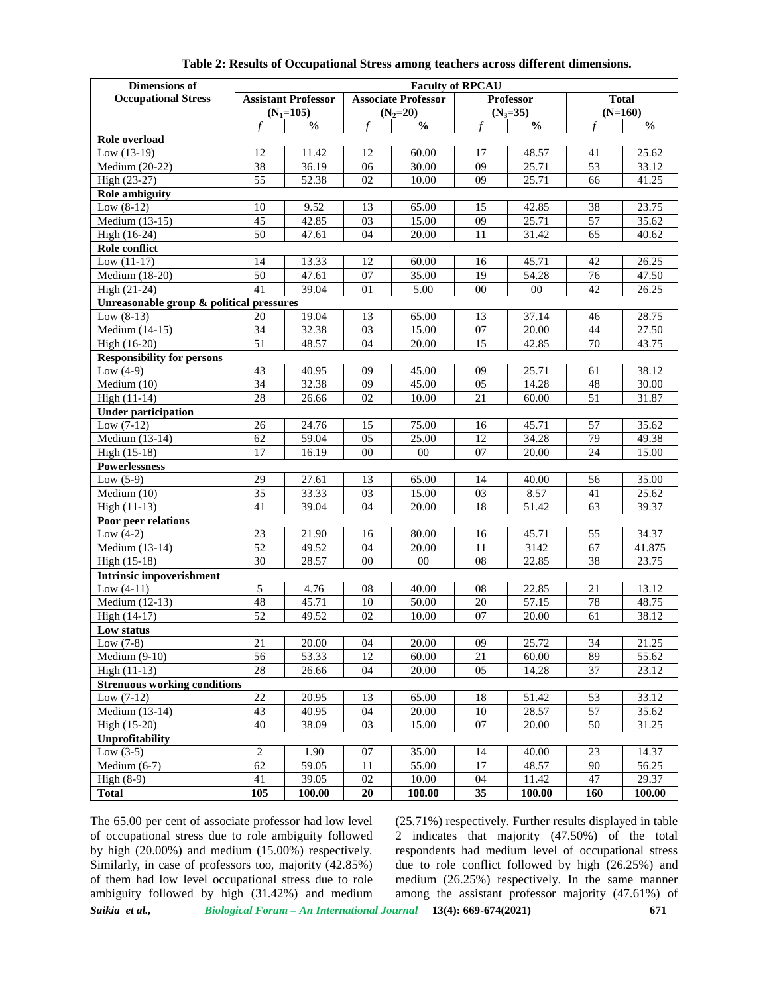| <b>Dimensions of</b>                                                               | <b>Faculty of RPCAU</b>            |                |                       |                            |                       |                  |                       |                |  |  |  |
|------------------------------------------------------------------------------------|------------------------------------|----------------|-----------------------|----------------------------|-----------------------|------------------|-----------------------|----------------|--|--|--|
| <b>Occupational Stress</b>                                                         | <b>Assistant Professor</b>         |                |                       | <b>Associate Professor</b> |                       | <b>Professor</b> |                       | <b>Total</b>   |  |  |  |
|                                                                                    |                                    | $(N_1=105)$    |                       | $(N_2=20)$                 |                       | $(N_3=35)$       |                       | $(N=160)$      |  |  |  |
|                                                                                    | f                                  | $\frac{0}{0}$  | $\mathbf f$           | $\overline{\frac{0}{0}}$   | f                     | $\frac{0}{0}$    | $\mathbf f$           | $\frac{0}{0}$  |  |  |  |
| Role overload                                                                      |                                    |                |                       |                            |                       |                  |                       |                |  |  |  |
| Low $(13-19)$                                                                      | 12                                 | 11.42<br>36.19 | 12                    | 60.00                      | 17                    | 48.57            | 41                    | 25.62          |  |  |  |
| Medium (20-22)                                                                     | $\overline{38}$<br>$\overline{55}$ |                | 06<br>02              | 30.00                      | 09<br>09              | 25.71            | 53                    | 33.12          |  |  |  |
| High (23-27)                                                                       |                                    | 52.38          |                       | 10.00                      |                       | 25.71            | 66                    | 41.25          |  |  |  |
| <b>Role ambiguity</b>                                                              |                                    |                |                       |                            |                       |                  |                       |                |  |  |  |
| Low $(8-12)$                                                                       | 10                                 | 9.52           | 13                    | 65.00                      | 15                    | 42.85            | 38                    | 23.75          |  |  |  |
| $\overline{\text{Medium}}$ (13-15)                                                 | 45                                 | 42.85          | 03                    | 15.00                      | 09                    | 25.71            | 57                    | 35.62          |  |  |  |
| High (16-24)                                                                       | 50                                 | 47.61          | 04                    | 20.00                      | 11                    | 31.42            | 65                    | 40.62          |  |  |  |
| Role conflict                                                                      |                                    |                | 12                    |                            |                       |                  | 42                    |                |  |  |  |
| Low $(11-17)$                                                                      | 14                                 | 13.33          |                       | 60.00                      | 16                    | 45.71            |                       | 26.25          |  |  |  |
| Medium (18-20)                                                                     | 50<br>41                           | 47.61<br>39.04 | 07<br>01              | 35.00                      | 19<br>00              | 54.28<br>$00\,$  | 76<br>42              | 47.50          |  |  |  |
| High (21-24)                                                                       |                                    |                |                       | 5.00                       |                       |                  |                       | 26.25          |  |  |  |
| Unreasonable group & political pressures<br>19.04<br>37.14<br>20<br>13<br>13<br>46 |                                    |                |                       |                            |                       |                  |                       |                |  |  |  |
| Low $(8-13)$                                                                       | $\overline{34}$                    |                |                       | 65.00                      |                       |                  |                       | 28.75          |  |  |  |
| Medium (14-15)                                                                     |                                    | 32.38          | 03                    | 15.00                      | 07                    | 20.00            | 44                    | 27.50          |  |  |  |
| 51<br>15<br>48.57<br>04<br>42.85<br>70<br>43.75<br>High (16-20)<br>20.00           |                                    |                |                       |                            |                       |                  |                       |                |  |  |  |
| <b>Responsibility for persons</b>                                                  |                                    |                |                       |                            |                       |                  |                       |                |  |  |  |
| Low $(4-9)$<br>Medium $(10)$                                                       | 43<br>$\overline{34}$              | 40.95<br>32.38 | 09<br>09              | 45.00<br>45.00             | 09<br>05              | 25.71<br>14.28   | 61<br>48              | 38.12          |  |  |  |
|                                                                                    | 28                                 |                | 02                    |                            | 21                    |                  |                       | 30.00          |  |  |  |
| High (11-14)                                                                       |                                    | 26.66          |                       | 10.00                      |                       | 60.00            | 51                    | 31.87          |  |  |  |
| <b>Under participation</b>                                                         |                                    |                |                       |                            |                       |                  |                       |                |  |  |  |
| Low $(7-12)$                                                                       | 26                                 | 24.76          | 15<br>$\overline{05}$ | 75.00<br>25.00             | 16                    | 45.71            | 57                    | 35.62          |  |  |  |
| Medium (13-14)                                                                     | 62                                 | 59.04          |                       |                            | 12                    | 34.28            | 79                    | 49.38          |  |  |  |
| High (15-18)                                                                       | 17                                 | 16.19          | 00                    | $00\,$                     | 07                    | 20.00            | 24                    | 15.00          |  |  |  |
| <b>Powerlessness</b>                                                               |                                    |                |                       |                            |                       |                  |                       |                |  |  |  |
| Low $(5-9)$                                                                        | 29                                 | 27.61<br>33.33 | 13                    | 65.00<br>15.00             | 14<br>$\overline{03}$ | 40.00<br>8.57    | 56                    | 35.00<br>25.62 |  |  |  |
| Medium (10)                                                                        | $\overline{35}$                    |                | $\overline{03}$<br>04 |                            |                       |                  | 41                    |                |  |  |  |
| High (11-13)                                                                       | 41                                 | 39.04          |                       | 20.00                      | 18                    | 51.42            | 63                    | 39.37          |  |  |  |
| Poor peer relations                                                                |                                    |                |                       |                            |                       |                  |                       |                |  |  |  |
| Low $\overline{(4-2)}$<br>Medium $(13-14)$                                         | 23<br>52                           | 21.90<br>49.52 | 16<br>04              | 80.00                      | 16<br>11              | 45.71<br>3142    | 55                    | 34.37          |  |  |  |
| High (15-18)                                                                       | $\overline{30}$                    |                | 00                    | 20.00<br>$00\,$            | 08                    |                  | 67<br>$\overline{38}$ | 41.875         |  |  |  |
|                                                                                    |                                    | 28.57          |                       |                            |                       | 22.85            |                       | 23.75          |  |  |  |
| <b>Intrinsic impoverishment</b>                                                    |                                    |                |                       |                            |                       |                  |                       |                |  |  |  |
| Low $(4-11)$                                                                       | 5<br>48                            | 4.76           | 08                    | 40.00                      | 08                    | 22.85            | 21                    | 13.12          |  |  |  |
| Medium (12-13)<br>High (14-17)                                                     | $\overline{52}$                    | 45.71          | 10<br>02              | 50.00                      | $20\,$                | 57.15            | $78\,$                | 48.75<br>38.12 |  |  |  |
|                                                                                    |                                    | 49.52          |                       | 10.00                      | 07                    | 20.00            | 61                    |                |  |  |  |
| Low status                                                                         |                                    | 20.00          |                       | 20.00                      | 09                    | 25.72            | 34                    | 21.25          |  |  |  |
| Low $(7-8)$                                                                        | $21\,$                             |                | 04                    |                            |                       |                  |                       |                |  |  |  |
| Medium $(9-10)$                                                                    | 56<br>$\overline{28}$              | 53.33          | 12<br>04              | 60.00                      | 21<br>$\overline{05}$ | 60.00<br>14.28   | 89<br>37              | 55.62<br>23.12 |  |  |  |
| $High (11-13)$<br><b>Strenuous working conditions</b>                              |                                    | 26.66          |                       | 20.00                      |                       |                  |                       |                |  |  |  |
|                                                                                    | $\overline{22}$                    |                |                       |                            |                       |                  |                       |                |  |  |  |
| Low $(7-12)$                                                                       |                                    | 20.95          | 13                    | 65.00                      | 18                    | 51.42            | 53                    | 33.12          |  |  |  |
| Medium (13-14)                                                                     | 43                                 | 40.95          | 04                    | 20.00                      | 10                    | 28.57            | 57                    | 35.62          |  |  |  |
| High (15-20)                                                                       | 40                                 | 38.09          | 03                    | 15.00                      | 07                    | 20.00            | 50                    | 31.25          |  |  |  |
| <b>Unprofitability</b>                                                             |                                    |                |                       |                            |                       |                  |                       |                |  |  |  |
| Low $(3-5)$                                                                        | $\overline{2}$                     | 1.90           | 07                    | 35.00                      | 14<br>$\overline{17}$ | 40.00            | 23                    | 14.37          |  |  |  |
| Medium $(6-7)$                                                                     | 62                                 | 59.05          | 11                    | 55.00                      |                       | 48.57            | 90                    | 56.25          |  |  |  |
| High $(8-9)$                                                                       | 41                                 | 39.05          | $\overline{02}$       | 10.00                      | 04                    | 11.42            | 47                    | 29.37          |  |  |  |
| <b>Total</b>                                                                       | 105                                | 100.00         | 20                    | 100.00                     | 35                    | 100.00           | 160                   | 100.00         |  |  |  |

**Table 2: Results of Occupational Stress among teachers across different dimensions.**

*Saikia et al., Biological Forum – An International Journal* **13(4): 669-674(2021) 671** The 65.00 per cent of associate professor had low level of occupational stress due to role ambiguity followed by high (20.00%) and medium (15.00%) respectively. Similarly, in case of professors too, majority (42.85%) of them had low level occupational stress due to role ambiguity followed by high (31.42%) and medium

(25.71%) respectively. Further results displayed in table 2 indicates that majority (47.50%) of the total respondents had medium level of occupational stress due to role conflict followed by high (26.25%) and medium (26.25%) respectively. In the same manner among the assistant professor majority (47.61%) of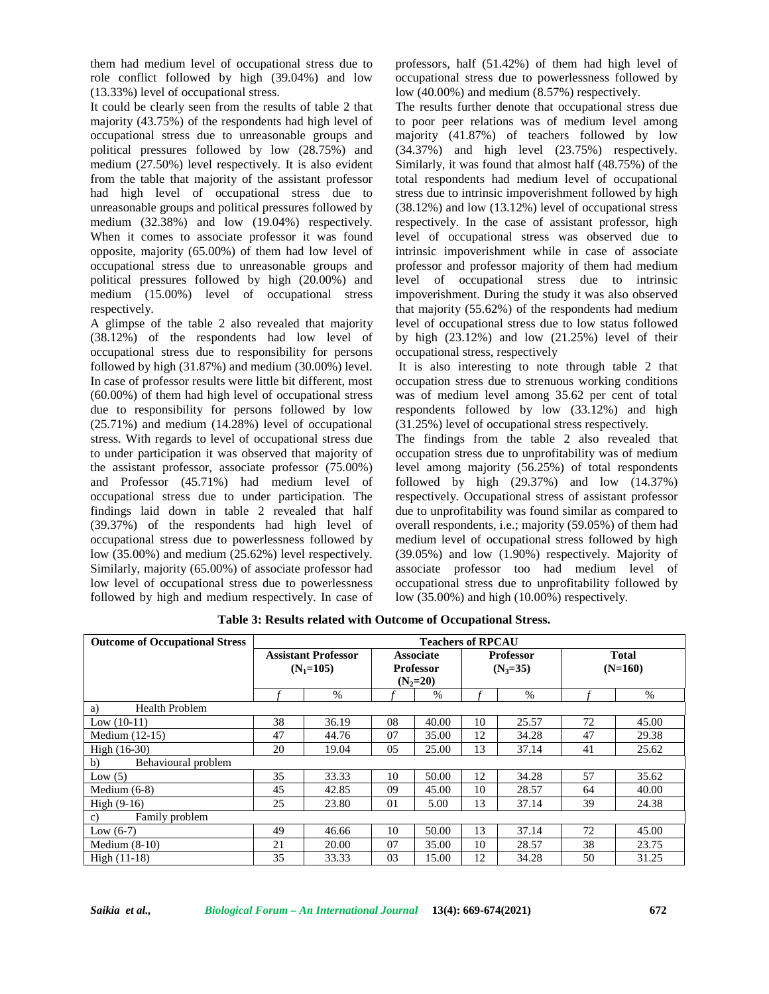them had medium level of occupational stress due to role conflict followed by high (39.04%) and low (13.33%) level of occupational stress.

It could be clearly seen from the results of table 2 that majority (43.75%) of the respondents had high level of occupational stress due to unreasonable groups and political pressures followed by low (28.75%) and medium (27.50%) level respectively. It is also evident from the table that majority of the assistant professor had high level of occupational stress due to unreasonable groups and political pressures followed by medium (32.38%) and low (19.04%) respectively. When it comes to associate professor it was found opposite, majority (65.00%) of them had low level of occupational stress due to unreasonable groups and political pressures followed by high (20.00%) and medium (15.00%) level of occupational stress respectively.

A glimpse of the table 2 also revealed that majority (38.12%) of the respondents had low level of occupational stress due to responsibility for persons followed by high (31.87%) and medium (30.00%) level. In case of professor results were little bit different, most (60.00%) of them had high level of occupational stress due to responsibility for persons followed by low (25.71%) and medium (14.28%) level of occupational stress. With regards to level of occupational stress due to under participation it was observed that majority of the assistant professor, associate professor (75.00%) and Professor (45.71%) had medium level of occupational stress due to under participation. The findings laid down in table 2 revealed that half (39.37%) of the respondents had high level of occupational stress due to powerlessness followed by low (35.00%) and medium (25.62%) level respectively. Similarly, majority (65.00%) of associate professor had low level of occupational stress due to powerlessness followed by high and medium respectively. In case of

professors, half (51.42%) of them had high level of occupational stress due to powerlessness followed by low (40.00%) and medium (8.57%) respectively.

The results further denote that occupational stress due to poor peer relations was of medium level among majority (41.87%) of teachers followed by low (34.37%) and high level (23.75%) respectively. Similarly, it was found that almost half (48.75%) of the total respondents had medium level of occupational stress due to intrinsic impoverishment followed by high (38.12%) and low (13.12%) level of occupational stress respectively. In the case of assistant professor, high level of occupational stress was observed due to intrinsic impoverishment while in case of associate professor and professor majority of them had medium level of occupational stress due to intrinsic impoverishment. During the study it was also observed that majority (55.62%) of the respondents had medium level of occupational stress due to low status followed by high  $(23.12\%)$  and low  $(21.25\%)$  level of their occupational stress, respectively

It is also interesting to note through table 2 that occupation stress due to strenuous working conditions was of medium level among 35.62 per cent of total respondents followed by low (33.12%) and high (31.25%) level of occupational stress respectively.

The findings from the table 2 also revealed that occupation stress due to unprofitability was of medium level among majority (56.25%) of total respondents followed by high  $(29.37%)$  and low  $(14.37%)$ respectively. Occupational stress of assistant professor due to unprofitability was found similar as compared to overall respondents, i.e.; majority (59.05%) of them had medium level of occupational stress followed by high (39.05%) and low (1.90%) respectively. Majority of associate professor too had medium level of occupational stress due to unprofitability followed by low (35.00%) and high (10.00%) respectively.

| <b>Outcome of Occupational Stress</b> | <b>Teachers of RPCAU</b>                  |       |                                                    |       |                                |       |                           |       |  |  |  |
|---------------------------------------|-------------------------------------------|-------|----------------------------------------------------|-------|--------------------------------|-------|---------------------------|-------|--|--|--|
|                                       | <b>Assistant Professor</b><br>$(N_1=105)$ |       | <b>Associate</b><br><b>Professor</b><br>$(N_2=20)$ |       | <b>Professor</b><br>$(N_3=35)$ |       | <b>Total</b><br>$(N=160)$ |       |  |  |  |
|                                       |                                           | %     |                                                    | $\%$  |                                | $\%$  |                           | %     |  |  |  |
| <b>Health Problem</b><br>a)           |                                           |       |                                                    |       |                                |       |                           |       |  |  |  |
| Low $(10-11)$                         | 38                                        | 36.19 | 08                                                 | 40.00 | 10                             | 25.57 | 72                        | 45.00 |  |  |  |
| Medium $(12-15)$                      | 47                                        | 44.76 | 07                                                 | 35.00 | 12                             | 34.28 | 47                        | 29.38 |  |  |  |
| $High (16-30)$                        | 20                                        | 19.04 | 05                                                 | 25.00 | 13                             | 37.14 | 41                        | 25.62 |  |  |  |
| b)<br>Behavioural problem             |                                           |       |                                                    |       |                                |       |                           |       |  |  |  |
| Low $(5)$                             | 35                                        | 33.33 | 10                                                 | 50.00 | 12                             | 34.28 | 57                        | 35.62 |  |  |  |
| Medium $(6-8)$                        | 45                                        | 42.85 | 09                                                 | 45.00 | 10                             | 28.57 | 64                        | 40.00 |  |  |  |
| High $(9-16)$                         | 25                                        | 23.80 | 01                                                 | 5.00  | 13                             | 37.14 | 39                        | 24.38 |  |  |  |
| Family problem<br>c)                  |                                           |       |                                                    |       |                                |       |                           |       |  |  |  |
| Low $(6-7)$                           | 49                                        | 46.66 | 10                                                 | 50.00 | 13                             | 37.14 | 72                        | 45.00 |  |  |  |
| Medium $(8-10)$                       | 21                                        | 20.00 | 07                                                 | 35.00 | 10                             | 28.57 | 38                        | 23.75 |  |  |  |
| $High (11-18)$                        | 35                                        | 33.33 | 03                                                 | 15.00 | 12                             | 34.28 | 50                        | 31.25 |  |  |  |

**Table 3: Results related with Outcome of Occupational Stress.**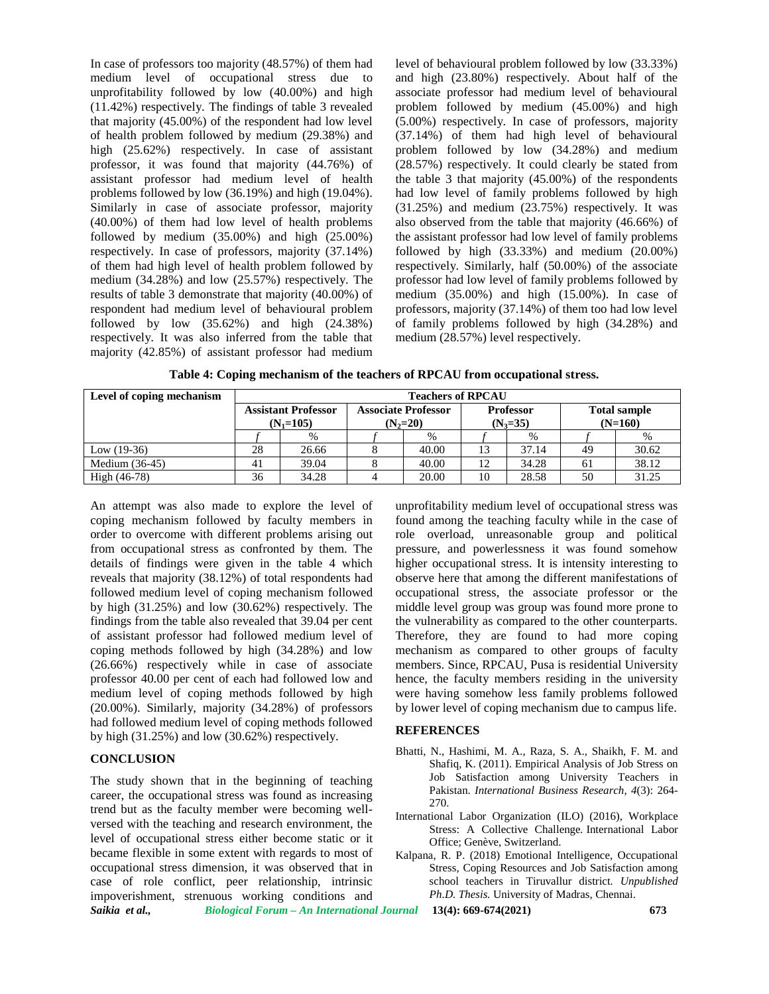In case of professors too majority (48.57%) of them had medium level of occupational stress due to unprofitability followed by low (40.00%) and high (11.42%) respectively. The findings of table 3 revealed that majority (45.00%) of the respondent had low level of health problem followed by medium (29.38%) and high (25.62%) respectively. In case of assistant professor, it was found that majority (44.76%) of assistant professor had medium level of health problems followed by low (36.19%) and high (19.04%). Similarly in case of associate professor, majority (40.00%) of them had low level of health problems followed by medium (35.00%) and high (25.00%) respectively. In case of professors, majority (37.14%) of them had high level of health problem followed by medium (34.28%) and low (25.57%) respectively. The results of table 3 demonstrate that majority (40.00%) of respondent had medium level of behavioural problem followed by low  $(35.62\%)$  and high  $(24.38\%)$ respectively. It was also inferred from the table that majority (42.85%) of assistant professor had medium level of behavioural problem followed by low (33.33%) and high (23.80%) respectively. About half of the associate professor had medium level of behavioural problem followed by medium (45.00%) and high (5.00%) respectively. In case of professors, majority (37.14%) of them had high level of behavioural problem followed by low (34.28%) and medium (28.57%) respectively. It could clearly be stated from the table 3 that majority (45.00%) of the respondents had low level of family problems followed by high (31.25%) and medium (23.75%) respectively. It was also observed from the table that majority (46.66%) of the assistant professor had low level of family problems followed by high (33.33%) and medium (20.00%) respectively. Similarly, half (50.00%) of the associate professor had low level of family problems followed by medium (35.00%) and high (15.00%). In case of professors, majority (37.14%) of them too had low level of family problems followed by high (34.28%) and medium (28.57%) level respectively.

|  | Table 4: Coping mechanism of the teachers of RPCAU from occupational stress. |  |  |  |
|--|------------------------------------------------------------------------------|--|--|--|
|  |                                                                              |  |  |  |

| Level of coping mechanism | <b>Teachers of RPCAU</b>   |       |            |                            |            |                  |                     |       |  |
|---------------------------|----------------------------|-------|------------|----------------------------|------------|------------------|---------------------|-------|--|
|                           | <b>Assistant Professor</b> |       |            | <b>Associate Professor</b> |            | <b>Professor</b> | <b>Total sample</b> |       |  |
|                           | $(N_1=105)$                |       | $(N_2=20)$ |                            | $(N_3=35)$ |                  | $(N=160)$           |       |  |
|                           |                            | $\%$  |            | $\%$                       |            | $\%$             |                     |       |  |
| Low $(19-36)$             | 28                         | 26.66 |            | 40.00                      | 13         | 37.14            | 49                  | 30.62 |  |
| Medium $(36-45)$          | 41                         | 39.04 |            | 40.00                      | 12         | 34.28            | 61                  | 38.12 |  |
| $High (46-78)$            | 36                         | 34.28 |            | 20.00                      | 10         | 28.58            | 50                  | 31.25 |  |

An attempt was also made to explore the level of coping mechanism followed by faculty members in order to overcome with different problems arising out from occupational stress as confronted by them. The details of findings were given in the table 4 which reveals that majority (38.12%) of total respondents had followed medium level of coping mechanism followed by high (31.25%) and low (30.62%) respectively. The findings from the table also revealed that 39.04 per cent of assistant professor had followed medium level of coping methods followed by high (34.28%) and low (26.66%) respectively while in case of associate professor 40.00 per cent of each had followed low and medium level of coping methods followed by high (20.00%). Similarly, majority (34.28%) of professors had followed medium level of coping methods followed by high (31.25%) and low (30.62%) respectively.

## **CONCLUSION**

*Saikia et al., Biological Forum – An International Journal* **13(4): 669-674(2021) 673** The study shown that in the beginning of teaching career, the occupational stress was found as increasing trend but as the faculty member were becoming well versed with the teaching and research environment, the level of occupational stress either become static or it became flexible in some extent with regards to most of occupational stress dimension, it was observed that in case of role conflict, peer relationship, intrinsic impoverishment, strenuous working conditions and

unprofitability medium level of occupational stress was found among the teaching faculty while in the case of role overload, unreasonable group and political pressure, and powerlessness it was found somehow higher occupational stress. It is intensity interesting to observe here that among the different manifestations of occupational stress, the associate professor or the middle level group was group was found more prone to the vulnerability as compared to the other counterparts. Therefore, they are found to had more coping mechanism as compared to other groups of faculty members. Since, RPCAU, Pusa is residential University hence, the faculty members residing in the university were having somehow less family problems followed by lower level of coping mechanism due to campus life.

#### **REFERENCES**

- Bhatti, N., Hashimi, M. A., Raza, S. A., Shaikh, F. M. and Shafiq, K. (2011). Empirical Analysis of Job Stress on Job Satisfaction among University Teachers in Pakistan. *International Business Research, 4*(3): 264- 270.
- International Labor Organization (ILO) (2016), Workplace Stress: A Collective Challenge*.* International Labor Office; Genève, Switzerland.
- Kalpana, R. P. (2018) Emotional Intelligence, Occupational Stress, Coping Resources and Job Satisfaction among school teachers in Tiruvallur district*. Unpublished Ph.D. Thesis.* University of Madras, Chennai.